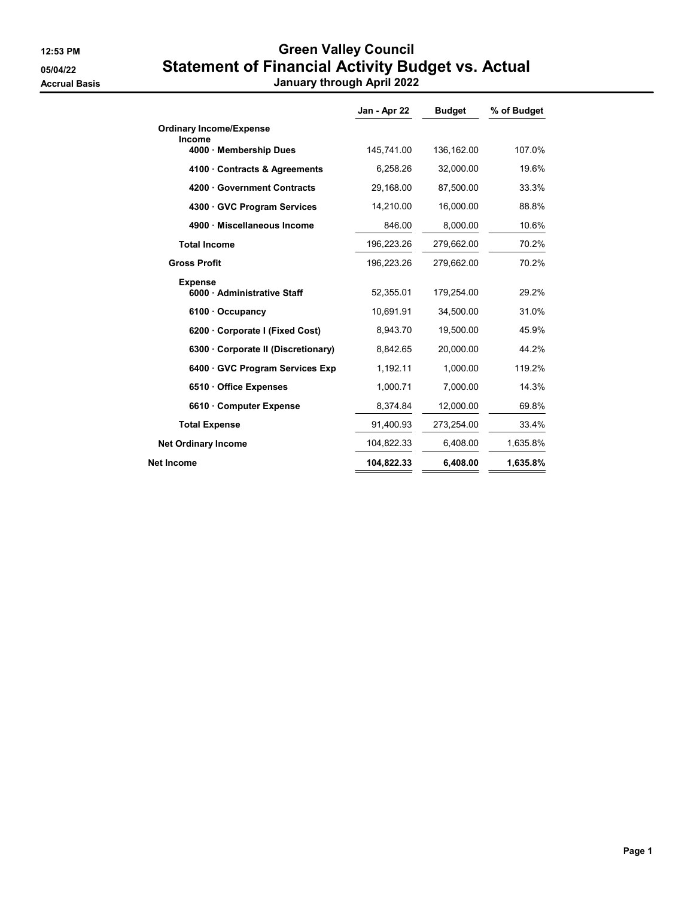## 12:53 PM **Green Valley Council** 05/04/22 Statement of Financial Activity Budget vs. Actual Accrual Basis **Accrual Basis January through April 2022**

|  | January through April 2022 |  |  |
|--|----------------------------|--|--|
|--|----------------------------|--|--|

|                                             | Jan - Apr 22 | <b>Budget</b> | % of Budget |
|---------------------------------------------|--------------|---------------|-------------|
| <b>Ordinary Income/Expense</b>              |              |               |             |
| Income<br>4000 · Membership Dues            | 145,741.00   | 136,162.00    | 107.0%      |
| 4100 Contracts & Agreements                 | 6,258.26     | 32,000.00     | 19.6%       |
| 4200 Government Contracts                   | 29,168.00    | 87,500.00     | 33.3%       |
| 4300 · GVC Program Services                 | 14,210.00    | 16,000.00     | 88.8%       |
| 4900 · Miscellaneous Income                 | 846.00       | 8,000.00      | 10.6%       |
| <b>Total Income</b>                         | 196,223.26   | 279,662.00    | 70.2%       |
| <b>Gross Profit</b>                         | 196,223.26   | 279,662.00    | 70.2%       |
| <b>Expense</b><br>6000 Administrative Staff | 52,355.01    | 179,254.00    | 29.2%       |
| $6100 \cdot$ Occupancy                      | 10,691.91    | 34,500.00     | 31.0%       |
| 6200 Corporate I (Fixed Cost)               | 8,943.70     | 19,500.00     | 45.9%       |
| 6300 Corporate II (Discretionary)           | 8,842.65     | 20,000.00     | 44.2%       |
| 6400 GVC Program Services Exp               | 1,192.11     | 1,000.00      | 119.2%      |
| 6510 · Office Expenses                      | 1,000.71     | 7,000.00      | 14.3%       |
| 6610 Computer Expense                       | 8,374.84     | 12,000.00     | 69.8%       |
| <b>Total Expense</b>                        | 91,400.93    | 273,254.00    | 33.4%       |
| <b>Net Ordinary Income</b>                  | 104,822.33   | 6.408.00      | 1,635.8%    |
| Net Income                                  | 104,822.33   | 6.408.00      | 1,635.8%    |